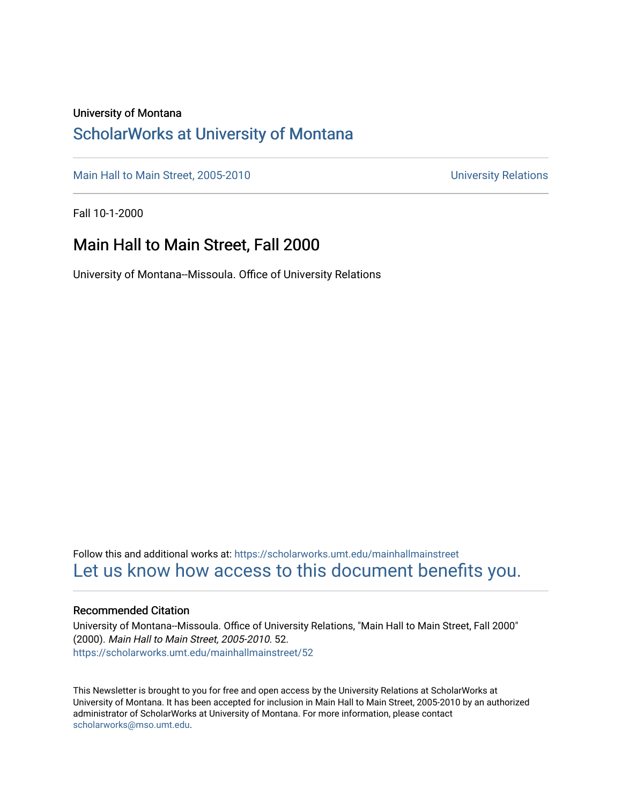### University of Montana

## [ScholarWorks at University of Montana](https://scholarworks.umt.edu/)

[Main Hall to Main Street, 2005-2010](https://scholarworks.umt.edu/mainhallmainstreet) Main Hall to Main Street, 2005-2010

Fall 10-1-2000

## Main Hall to Main Street, Fall 2000

University of Montana--Missoula. Office of University Relations

Follow this and additional works at: [https://scholarworks.umt.edu/mainhallmainstreet](https://scholarworks.umt.edu/mainhallmainstreet?utm_source=scholarworks.umt.edu%2Fmainhallmainstreet%2F52&utm_medium=PDF&utm_campaign=PDFCoverPages) [Let us know how access to this document benefits you.](https://goo.gl/forms/s2rGfXOLzz71qgsB2) 

#### Recommended Citation

University of Montana--Missoula. Office of University Relations, "Main Hall to Main Street, Fall 2000" (2000). Main Hall to Main Street, 2005-2010. 52. [https://scholarworks.umt.edu/mainhallmainstreet/52](https://scholarworks.umt.edu/mainhallmainstreet/52?utm_source=scholarworks.umt.edu%2Fmainhallmainstreet%2F52&utm_medium=PDF&utm_campaign=PDFCoverPages) 

This Newsletter is brought to you for free and open access by the University Relations at ScholarWorks at University of Montana. It has been accepted for inclusion in Main Hall to Main Street, 2005-2010 by an authorized administrator of ScholarWorks at University of Montana. For more information, please contact [scholarworks@mso.umt.edu.](mailto:scholarworks@mso.umt.edu)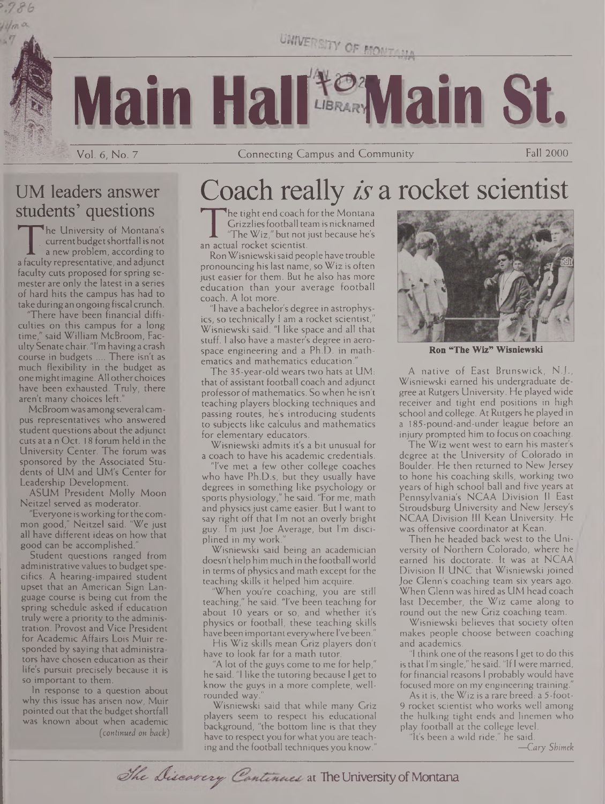UNIVERSITY OF MONTAS

**Main Hall Main St.**

Vol. 6, No. 7 Connecting Campus and Community Fall 2000

## UM leaders answer students' questions

 $Hm$ a

The University of Montana's currentbudgetshortfall is not a new problem, according to a faculty representative, andadjunct faculty cuts proposed for spring semester are only the latest in a series of hard hits the campus has had to take during an ongoing fiscal crunch.

There have been financial difficulties on this campus for a long time," said William McBroom, FacultySenate chair. "I'm having a crash course in budgets .... There isn't as much flexibility in the budget as one might imagine. All other choices have been exhausted. Truly, there aren't many choices left.

McBroomwasamongseveral campus representatives who answered student questions about the adjunct cuts at a n Oct. 18 forum held in the University Center. The forum was sponsored by the Associated Students of UM and UM's Center for Leadership Development.

ASUM President Molly Moon Neitzel served as moderator.

"Everyone isworking forthe common good," Neitzel said. "We just all have different ideas on how that good can be accomplished."

Student questions ranged from administrative values to budget specifics. A hearing-impaired student upset that an American Sign Language course is being cut from the spring schedule asked if education truly were a priority to the administration. Provost and Vice President for Academic Affairs Lois Muir responded by saying that administrators have chosen education as their life's pursuit precisely because it is so important to them.

In response to a question about why this issue has arisen now, Muir pointed out that the budget shortfall was known about when academic *(continued on back)*

# Coach really is a rocket scientist

The tight end coach for the<br>
Grizzlies football team is n<br>
"The Wiz," but not just be<br>
an actual rocket scientist.<br>
Ron Wisniewski said people ha he tight end coach for the Montana Grizzliesfootball team is nicknamed "The  $W$ iz," but not just because he's

RonWisniewskisaid people have trouble pronouncing his last name, so Wiz is often just easier for them. But he also has more education than your average football coach. A lot more.

"I have a bachelor's degree in astrophysics, so technically <sup>I</sup> am a rocket scientist," Wisniewski said. "I like space and all that stuff. <sup>I</sup> also have a master's degree in aerospace engineering and a Ph.D. in mathematics and mathematics education.

The 35-year-oId wears two hats at UM: that of assistant football coach and adjunct professor of mathematics. So when he isn't teaching players blocking techniques and passing routes, he's introducing students to subjects like calculus and mathematics for elementary educators.

Wisniewski admits it's a bit unusual for a coach to have his academic credentials.

"I've met a few other college coaches who have Ph.D.s, but they usually have degrees in something like psychology or sports physiology," he said. "For me, math and physics just came easier. But I want to say right off that I'm not an overly bright guy. I'm just Joe Average, but I'm disciplined in my work.

Wisniewski said being an academician doesn't help him much in the football world in terms of physics and math except for the teaching skills it helped him acquire.

'When you're coaching, you are still teaching," he said. "I've been teaching for about 10 years or so, and whether it's physics or football, these teaching skills havebeen important everywhere I'vebeen."

His Wiz skills mean Griz players don't have to look far for a math tutor.

"A lot of the guys come to me for help," he said. "1 like the tutoring because I get to know the guys in a more complete, wellrounded way.

Wisniewski said that while many Griz players seem to respect his educational background, "the bottom line is that they have to respect you forwhat you are teaching and the football techniques you know.



**Ron "The Wiz" Wisniewski**

A native of East Brunswick, N.J., Wisniewski earned his undergraduate degree at Rutgers University. He played wide receiver and tight end positions in high school and college. At Rutgers he played in a 185-pound-and-under league before an injury prompted him to focus on coaching.

The Wiz went west to earn his master's degree at the University of Colorado in Boulder. He then returned to New Jersey to hone his coaching skills, working two years of high school ball and five years at Pennsylvania's NCAA Division II East Stroudsburg University and New Jersey's NCAA Division III Kean University. He was offensive coordinator at Kean.

Then he headed back west to the University of Northern Colorado, where he earned his doctorate. It was at NCAA Division II UNC that Wisniewski joined Joe Glenn's coaching team six years ago. When Glenn was hired as UM head coach last December, the Wiz came along to round out the new Griz coaching team.

Wisniewski believes that society often makes people choose between coaching and academics.

I think one of the reasons I get to do this is that I'm single," he said. "If <sup>I</sup> were married, for financial reasons <sup>I</sup> probably would have focused more on my engineering training."

As it is, the Wiz is a rare breed: a 5-foot-9 rocket scientist who works well among the hulking tight ends and linemen who play football at the college level.

"It's been a wild ride," he said. —Cary *Shimek*

The Discovery Continues at The University of Montana